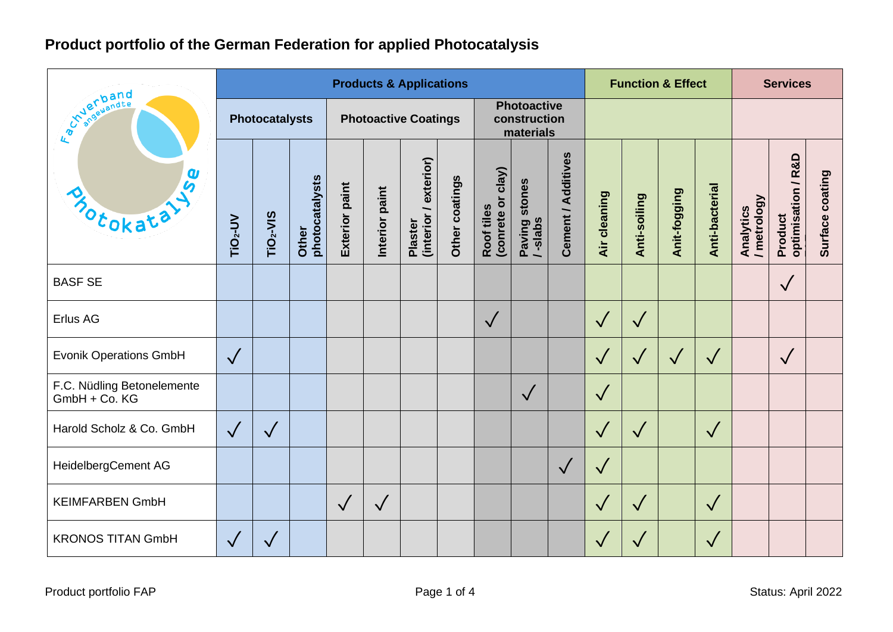# **Product portfolio of the German Federation for applied Photocatalysis**

| in verband<br><b>USe</b><br>Motokata        | <b>Products &amp; Applications</b> |                 |                         |                             |                |                                  |                |                                                 |                              |                    |              | <b>Function &amp; Effect</b> |              |                |                          | <b>Services</b>               |                 |  |
|---------------------------------------------|------------------------------------|-----------------|-------------------------|-----------------------------|----------------|----------------------------------|----------------|-------------------------------------------------|------------------------------|--------------------|--------------|------------------------------|--------------|----------------|--------------------------|-------------------------------|-----------------|--|
|                                             | <b>Photocatalysts</b>              |                 |                         | <b>Photoactive Coatings</b> |                |                                  |                | <b>Photoactive</b><br>construction<br>materials |                              |                    |              |                              |              |                |                          |                               |                 |  |
|                                             | TiO <sub>2</sub> -UV               | <b>TiO2-VIS</b> | Other<br>photocatalysts | <b>Exterior paint</b>       | Interior paint | (interior / exterior)<br>Plaster | Other coatings | (conrete or clay)<br>Roof tiles                 | stones<br>Paving<br>/ -slabs | Cement / Additives | Air cleaning | Anti-soiling                 | Anit-fogging | Anti-bacterial | / metrology<br>Analytics | Product<br>optimisation / R&D | Surface coating |  |
| <b>BASF SE</b>                              |                                    |                 |                         |                             |                |                                  |                |                                                 |                              |                    |              |                              |              |                |                          | $\sqrt{}$                     |                 |  |
| Erlus AG                                    |                                    |                 |                         |                             |                |                                  |                | $\sqrt{}$                                       |                              |                    | $\sqrt{}$    | $\sqrt{}$                    |              |                |                          |                               |                 |  |
| <b>Evonik Operations GmbH</b>               | $\sqrt{}$                          |                 |                         |                             |                |                                  |                |                                                 |                              |                    | $\sqrt{}$    | $\sqrt{}$                    | $\sqrt{}$    | $\sqrt{}$      |                          | $\sqrt{}$                     |                 |  |
| F.C. Nüdling Betonelemente<br>GmbH + Co. KG |                                    |                 |                         |                             |                |                                  |                |                                                 | $\sqrt{}$                    |                    | $\sqrt{}$    |                              |              |                |                          |                               |                 |  |
| Harold Scholz & Co. GmbH                    | $\sqrt{}$                          | $\sqrt{}$       |                         |                             |                |                                  |                |                                                 |                              |                    | $\sqrt{}$    | $\sqrt{}$                    |              | $\sqrt{}$      |                          |                               |                 |  |
| HeidelbergCement AG                         |                                    |                 |                         |                             |                |                                  |                |                                                 |                              | $\sqrt{}$          | $\checkmark$ |                              |              |                |                          |                               |                 |  |
| <b>KEIMFARBEN GmbH</b>                      |                                    |                 |                         | $\sqrt{}$                   | $\sqrt{}$      |                                  |                |                                                 |                              |                    | $\sqrt{}$    | $\sqrt{}$                    |              | $\sqrt{}$      |                          |                               |                 |  |
| <b>KRONOS TITAN GmbH</b>                    | $\sqrt{}$                          |                 |                         |                             |                |                                  |                |                                                 |                              |                    | $\sqrt{}$    | $\sqrt{}$                    |              | $\checkmark$   |                          |                               |                 |  |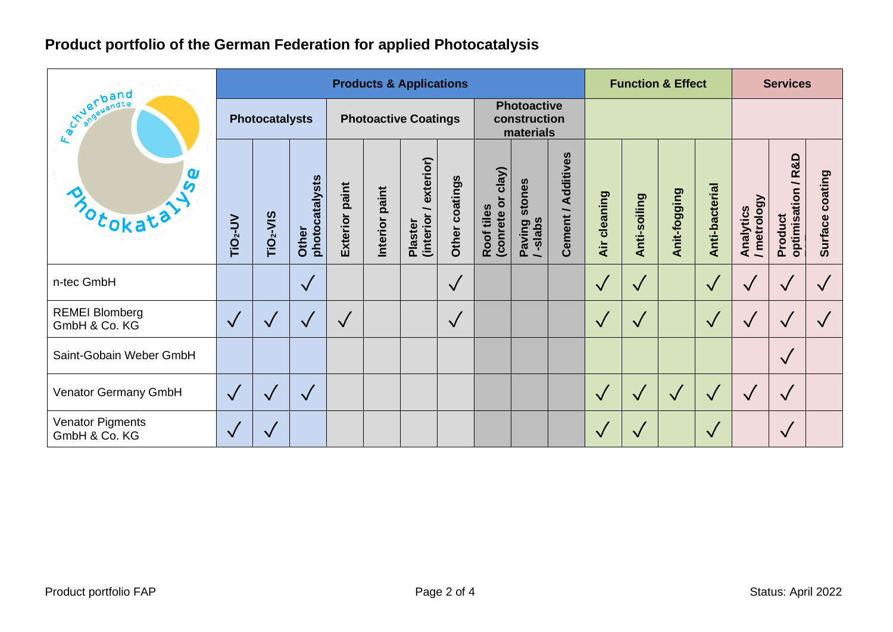# **Product portfolio of the German Federation for applied Photocatalysis**

| <b>Avanual Property</b><br>$\boldsymbol{a}$<br>Motokata | <b>Products &amp; Applications</b> |                       |                         |                             |                   |                                   |                |                                                 |                              |                       |              | <b>Function &amp; Effect</b> |              |                |                          | <b>Services</b>               |                           |  |
|---------------------------------------------------------|------------------------------------|-----------------------|-------------------------|-----------------------------|-------------------|-----------------------------------|----------------|-------------------------------------------------|------------------------------|-----------------------|--------------|------------------------------|--------------|----------------|--------------------------|-------------------------------|---------------------------|--|
|                                                         | <b>Photocatalysts</b>              |                       |                         | <b>Photoactive Coatings</b> |                   |                                   |                | <b>Photoactive</b><br>construction<br>materials |                              |                       |              |                              |              |                |                          |                               |                           |  |
|                                                         | TiO <sub>2</sub> -UV               | TiO <sub>2</sub> -VIS | photocatalysts<br>Other | <b>Exterior paint</b>       | paint<br>Interior | exterior)<br>(interior<br>Plaster | Other coatings | clay)<br>(conrete or<br>Roof tiles              | stones<br>Paving<br>/ -slabs | Additives<br>Cement / | Air cleaning | Anti-soiling                 | Anit-fogging | Anti-bacterial | / metrology<br>Analytics | optimisation / R&D<br>Product | coating<br><b>Surface</b> |  |
| n-tec GmbH                                              |                                    |                       | $\checkmark$            |                             |                   |                                   | $\sqrt{}$      |                                                 |                              |                       | $\sqrt{}$    | $\checkmark$                 |              | $\sqrt{}$      | $\checkmark$             | $\checkmark$                  |                           |  |
| <b>REMEI Blomberg</b><br>GmbH & Co. KG                  | $\sqrt{}$                          |                       | $\sqrt{}$               | $\sqrt{}$                   |                   |                                   | $\sqrt{}$      |                                                 |                              |                       | $\sqrt{}$    | $\sqrt{}$                    |              | $\sqrt{}$      | $\sqrt{}$                | $\checkmark$                  |                           |  |
| Saint-Gobain Weber GmbH                                 |                                    |                       |                         |                             |                   |                                   |                |                                                 |                              |                       |              |                              |              |                |                          | $\checkmark$                  |                           |  |
| Venator Germany GmbH                                    | $\sqrt{}$                          |                       | $\checkmark$            |                             |                   |                                   |                |                                                 |                              |                       | $\sqrt{}$    | $\sqrt{}$                    | $\sqrt{}$    | $\sqrt{}$      | $\sqrt{}$                | $\checkmark$                  |                           |  |
| <b>Venator Pigments</b><br>GmbH & Co. KG                | $\checkmark$                       |                       |                         |                             |                   |                                   |                |                                                 |                              |                       | $\bigvee$    | $\checkmark$                 |              | $\checkmark$   |                          | $\checkmark$                  |                           |  |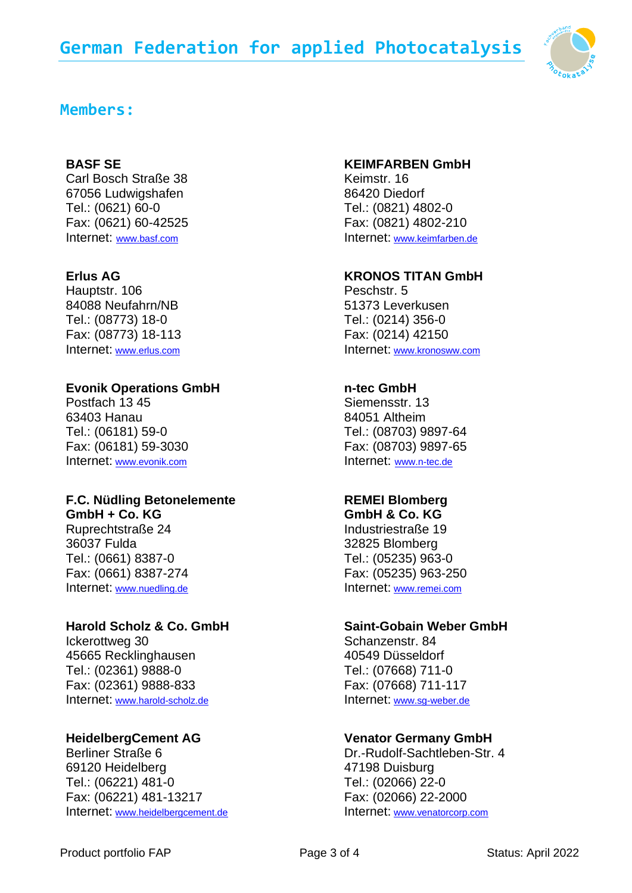

## **Members:**

## **BASF SE**

Carl Bosch Straße 38 67056 Ludwigshafen Tel.: (0621) 60-0 Fax: (0621) 60-42525 Internet: [www.basf.com](http://www.basf.com/)

## **Erlus AG**

Hauptstr. 106 84088 Neufahrn/NB Tel.: (08773) 18-0 Fax: (08773) 18-113 Internet: [www.erlus.com](http://www.erlus.com/) 

## **Evonik Operations GmbH**

Postfach 13 45 63403 Hanau Tel.: (06181) 59-0 Fax: (06181) 59-3030 Internet: [www.evonik.com](http://www.evonik.com/) 

## **F.C. Nüdling Betonelemente**

**GmbH + Co. KG**  Ruprechtstraße 24 36037 Fulda Tel.: (0661) 8387-0 Fax: (0661) 8387-274 Internet: [www.nuedling.de](http://www.nuedling.de/) 

## **Harold Scholz & Co. GmbH**

Ickerottweg 30 45665 Recklinghausen Tel.: (02361) 9888-0 Fax: (02361) 9888-833 Internet: [www.harold-scholz.de](http://www.harold-scholz.de/) 

## **HeidelbergCement AG**

Berliner Straße 6 69120 Heidelberg Tel.: (06221) 481-0 Fax: (06221) 481-13217 Internet: [www.heidelbergcement.de](http://www.heidelbergcement.de/)

#### **KEIMFARBEN GmbH**

Keimstr. 16 86420 Diedorf Tel.: (0821) 4802-0 Fax: (0821) 4802-210 Internet: [www.keimfarben.de](http://www.keimfarben.de/) 

## **KRONOS TITAN GmbH**

Peschstr. 5 51373 Leverkusen Tel.: (0214) 356-0 Fax: (0214) 42150 Internet: [www.kronosww.com](http://www.kronosww.com/)

## **n-tec GmbH**

Siemensstr. 13 84051 Altheim Tel.: (08703) 9897-64 Fax: (08703) 9897-65 Internet: [www.n-tec.de](http://www.n-tec.de/)

## **REMEI Blomberg**

**GmbH & Co. KG**  Industriestraße 19 32825 Blomberg Tel.: (05235) 963-0 Fax: (05235) 963-250 Internet: [www.remei.com](http://www.remei.com/) 

#### **Saint-Gobain Weber GmbH**

Schanzenstr. 84 40549 Düsseldorf Tel.: (07668) 711-0 Fax: (07668) 711-117 Internet: [www.sg-weber.de](http://www.sg-weber.de/) 

## **Venator Germany GmbH**

Dr.-Rudolf-Sachtleben-Str. 4 47198 Duisburg Tel.: (02066) 22-0 Fax: (02066) 22-2000 Internet: [www.venatorcorp.com](http://www.venatorcorp.com/)